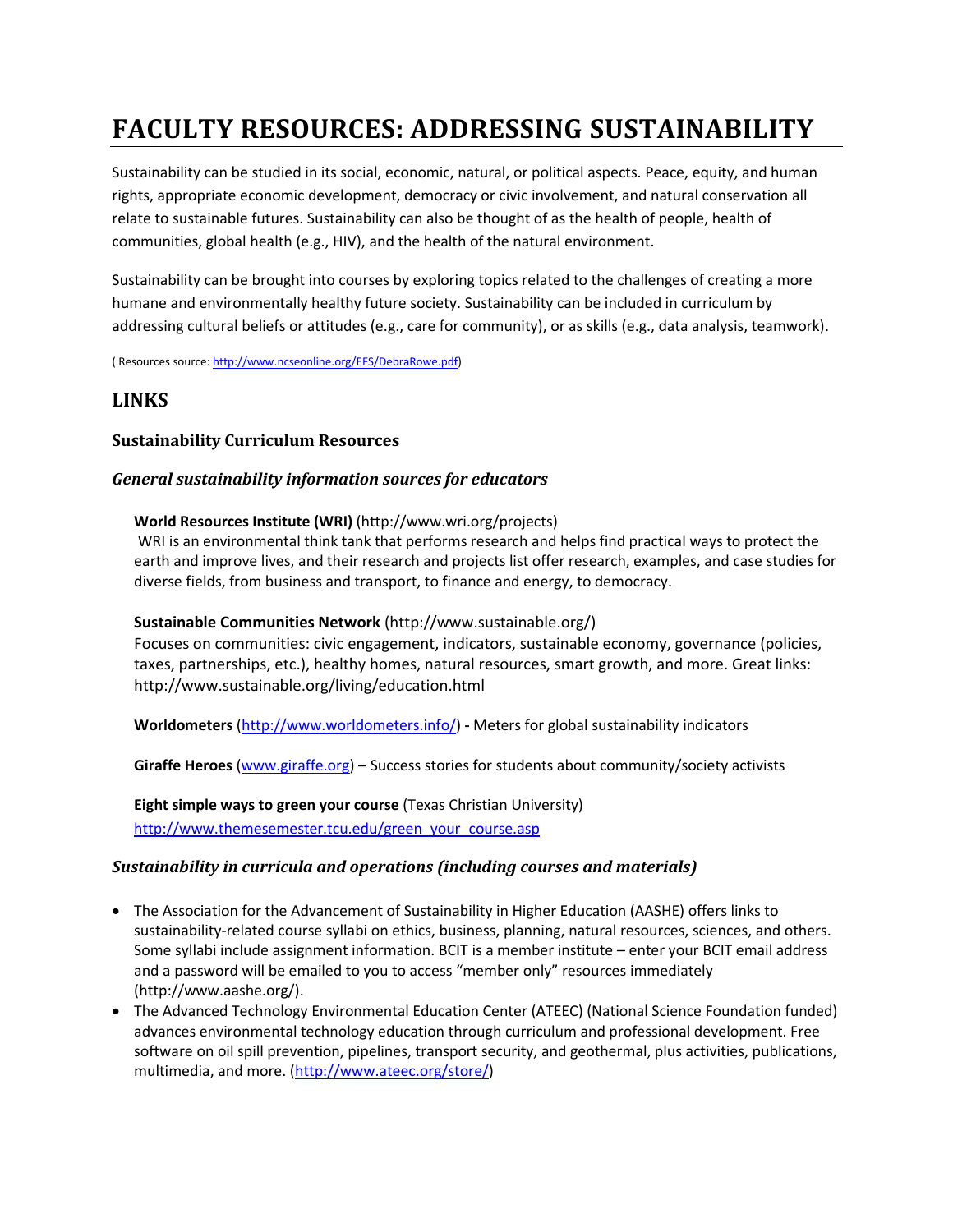# **FACULTY RESOURCES: ADDRESSING SUSTAINABILITY**

Sustainability can be studied in its social, economic, natural, or political aspects. Peace, equity, and human rights, appropriate economic development, democracy or civic involvement, and natural conservation all relate to sustainable futures. Sustainability can also be thought of as the health of people, health of communities, global health (e.g., HIV), and the health of the natural environment.

Sustainability can be brought into courses by exploring topics related to the challenges of creating a more humane and environmentally healthy future society. Sustainability can be included in curriculum by addressing cultural beliefs or attitudes (e.g., care for community), or as skills (e.g., data analysis, teamwork).

( Resources source[: http://www.ncseonline.org/EFS/DebraRowe.pdf\)](http://www.ncseonline.org/EFS/DebraRowe.pdf)

# **LINKS**

# **Sustainability Curriculum Resources**

# *General sustainability information sources for educators*

#### **World Resources Institute (WRI)** (http://www.wri.org/projects)

WRI is an environmental think tank that performs research and helps find practical ways to protect the earth and improve lives, and their research and projects list offer research, examples, and case studies for diverse fields, from business and transport, to finance and energy, to democracy.

#### **Sustainable Communities Network** (http://www.sustainable.org/)

Focuses on communities: civic engagement, indicators, sustainable economy, governance (policies, taxes, partnerships, etc.), healthy homes, natural resources, smart growth, and more. Great links: http://www.sustainable.org/living/education.html

**Worldometers** [\(http://www.worldometers.info/\)](http://www.worldometers.info/) **-** Meters for global sustainability indicators

**Giraffe Heroes** [\(www.giraffe.org\)](http://www.giraffe.org/) – Success stories for students about community/society activists

**Eight simple ways to green your course** (Texas Christian University) [http://www.themesemester.tcu.edu/green\\_your\\_course.asp](http://www.themesemester.tcu.edu/green_your_course.asp)

# *Sustainability in curricula and operations (including courses and materials)*

- The Association for the Advancement of Sustainability in Higher Education (AASHE) offers links to sustainability-related course syllabi on ethics, business, planning, natural resources, sciences, and others. Some syllabi include assignment information. BCIT is a member institute – enter your BCIT email address and a password will be emailed to you to access "member only" resources immediately (http://www.aashe.org/).
- The Advanced Technology Environmental Education Center (ATEEC) (National Science Foundation funded) advances environmental technology education through curriculum and professional development. Free software on oil spill prevention, pipelines, transport security, and geothermal, plus activities, publications, multimedia, and more. [\(http://www.ateec.org/store/\)](http://www.ateec.org/store/)